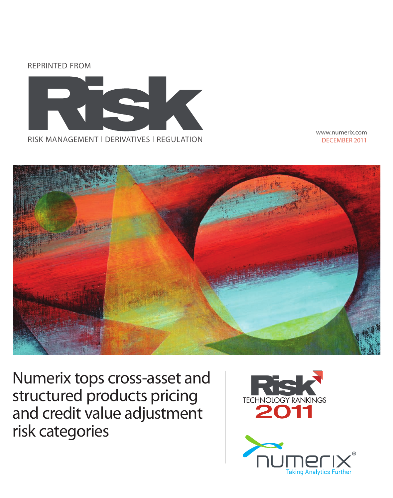



www.numerix.com DEcEMbER 2011



Numerix tops cross-asset and structured products pricing and credit value adjustment risk categories



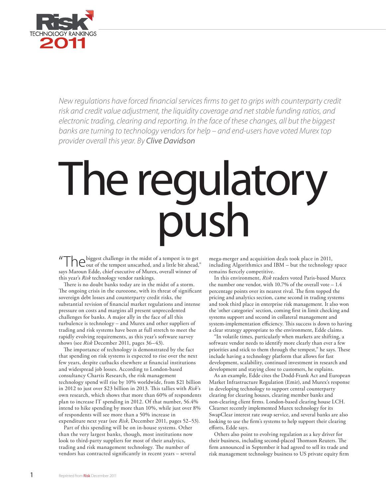

*New regulations have forced financial services firms to get to grips with counterparty credit risk and credit value adjustment, the liquidity coverage and net stable funding ratios, and electronic trading, clearing and reporting. In the face of these changes, all but the biggest banks are turning to technology vendors for help – and end-users have voted Murex top provider overall this year. By Clive Davidson*

# The regulatory push

"The biggest challenge in the midst of a tempest is to get out of the tempest unscathed, and a little bit ahead," says Maroun Edde, chief executive of Murex, overall winner of this year's *Risk* technology vendor rankings.

There is no doubt banks today are in the midst of a storm. The ongoing crisis in the eurozone, with its threat of significant sovereign debt losses and counterparty credit risks, the substantial revision of financial market regulations and intense pressure on costs and margins all present unprecedented challenges for banks. A major ally in the face of all this turbulence is technology – and Murex and other suppliers of trading and risk systems have been at full stretch to meet the rapidly evolving requirements, as this year's software survey shows (see *Risk* December 2011, pages 36–43).

The importance of technology is demonstrated by the fact that spending on risk systems is expected to rise over the next few years, despite cutbacks elsewhere at financial institutions and widespread job losses. According to London-based consultancy Chartis Research, the risk management technology spend will rise by 10% worldwide, from \$21 billion in 2012 to just over \$23 billion in 2013. This tallies with *Risk*'s own research, which shows that more than 60% of respondents plan to increase IT spending in 2012. Of that number, 56.4% intend to hike spending by more than 10%, while just over 8% of respondents will see more than a 50% increase in expenditure next year (see *Risk*, December 2011, pages 52–53).

Part of this spending will be on in-house systems. Other than the very largest banks, though, most institutions now look to third-party suppliers for most of their analytics, trading and risk management technology. The number of vendors has contracted significantly in recent years – several

mega-merger and acquisition deals took place in 2011, including Algorithmics and IBM – but the technology space remains fiercely competitive.

In this environment, *Risk* readers voted Paris-based Murex the number one vendor, with 10.7% of the overall vote – 1.4 percentage points over its nearest rival. The firm topped the pricing and analytics section, came second in trading systems and took third place in enterprise risk management. It also won the 'other categories' section, coming first in limit checking and systems support and second in collateral management and system-implementation efficiency. This success is down to having a clear strategy appropriate to the environment, Edde claims.

"In volatile times, particularly when markets are shifting, a software vendor needs to identify more clearly than ever a few priorities and stick to them through the tempest," he says. These include having a technology platform that allows for fast development, scalability, continued investment in research and development and staying close to customers, he explains.

As an example, Edde cites the Dodd-Frank Act and European Market Infrastructure Regulation (Emir), and Murex's response in developing technology to support central counterparty clearing for clearing houses, clearing member banks and non-clearing client firms. London-based clearing house LCH. Clearnet recently implemented Murex technology for its SwapClear interest rate swap service, and several banks are also looking to use the firm's systems to help support their clearing efforts, Edde says.

Others also point to evolving regulation as a key driver for their business, including second-placed Thomson Reuters. The firm announced in September it had agreed to sell its trade and risk management technology business to US private equity firm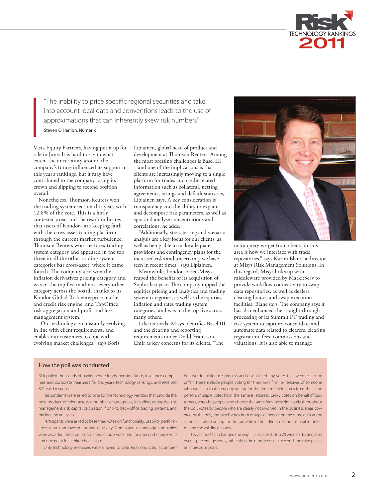

"The inability to price specific regional securities and take into account local data and conventions leads to the use of approximations that can inherently skew risk numbers"

Steven O'Hanlon, Numerix

Vista Equity Partners, having put it up for sale in June. It is hard to say to what extent the uncertainty around the company's future influenced its support in this year's rankings, but it may have contributed to the company losing its crown and slipping to second position overall.

Nonetheless, Thomson Reuters won the trading system section this year, with 12.8% of the vote. This is a hotly contested area, and the result indicates that users of Kondor+ are keeping faith with the cross-asset trading platform through the current market turbulence. Thomson Reuters won the forex trading system category and appeared in the top three in all the other trading system categories bar cross-asset, where it came fourth. The company also won the inflation derivatives pricing category and was in the top five in almost every other category across the board, thanks to its Kondor Global Risk enterprise market and credit risk engine, and TopOffice risk aggregation and profit and loss management system.

"Our technology is constantly evolving in line with client requirements, and enables our customers to cope with evolving market challenges," says Boris

Lipiainen, global head of product and development at Thomson Reuters. Among the most pressing challenges is Basel III – and one of the implications is that clients are increasingly moving to a single platform for trades and credit-related information such as collateral, netting agreements, ratings and default statistics, Lipiainen says. A key consideration is transparency and the ability to explain and decompose risk parameters, as well as spot and analyse concentrations and correlations, he adds.

"Additionally, stress testing and scenario analysis are a key focus for our clients, as well as being able to make adequate provisions and contingency plans for the increased risks and uncertainty we have seen in recent times," says Lipiainen.

Meanwhile, London-based Misys reaped the benefits of its acquisition of Sophis last year. The company topped the equities pricing and analytics and trading system categories, as well as the equities, inflation and rates trading system categories, and was in the top five across many others.

Like its rivals, Misys identifies Basel III and the clearing and reporting requirements under Dodd-Frank and Emir as key concerns for its clients. "The



main query we get from clients in this area is how we interface with trade repositories," says Karim Blanc, a director at Misys Risk Management Solutions. In this regard, Misys links up with middleware provided by MarkitServ to provide workflow connectivity to swap data repositories, as well as dealers, clearing houses and swap execution facilities, Blanc says. The company says it has also enhanced the straight-through processing of its Summit FT trading and risk system to capture, consolidate and automate data related to clearers, clearing registration, fees, commissions and valuations. It is also able to manage

# How the poll was conducted

Risk polled thousands of banks, hedge funds, pension funds, insurance companies and corporate treasurers for this year's technology rankings, and received 821 valid responses.

Respondents were asked to vote for the technology vendors that provide the best product offering across a number of categories, including enterprise risk management, risk capital calculation, front- to back-office trading systems, and pricing and analytics.

Participants were asked to base their votes on functionality, usability, performance, return on investment and reliability. Nominated technology companies were awarded three points for a first-choice vote, two for a second-choice vote and one point for a third-choice vote.

Only technology end-users were allowed to vote. *Risk* conducted a compre-

hensive due diligence process and disqualified any votes that were felt to be unfair. These include people voting for their own firm, or relatives of someone who works in that company voting for the firm, multiple votes from the same person, multiple votes from the same IP address, proxy votes on behalf of customers, votes by people who choose the same firm indiscriminately throughout the poll, votes by people who are clearly not involved in the business areas covered by the poll, and block votes from groups of people on the same desk at the same institution voting for the same firm. The editor's decision is final in determining the validity of votes.

This year, *Risk* has changed the way it calculates its top 20 winners, basing it on overall percentage votes, rather than the number of first, second and third places as in previous years.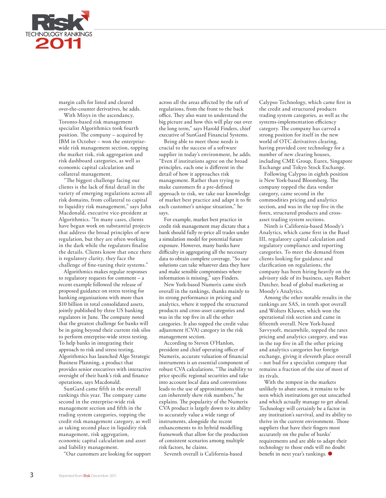

margin calls for listed and cleared over-the-counter derivatives, he adds.

With Misys in the ascendancy, Toronto-based risk management specialist Algorithmics took fourth position. The company – acquired by IBM in October – won the enterprisewide risk management section, topping the market risk, risk aggregation and risk dashboard categories, as well as economic capital calculation and collateral management.

"The biggest challenge facing our clients is the lack of final detail in the variety of emerging regulations across all risk domains, from collateral to capital to liquidity risk management," says John Macdonald, executive vice-president at Algorithmics. "In many cases, clients have begun work on substantial projects that address the broad principles of new regulation, but they are often working in the dark while the regulators finalise the details. Clients know that once there is regulatory clarity, they face the challenge of fine-tuning their systems."

Algorithmics makes regular responses to regulatory requests for comment – a recent example followed the release of proposed guidance on stress testing for banking organisations with more than \$10 billion in total consolidated assets, jointly published by three US banking regulators in June. The company noted that the greatest challenge for banks will be in going beyond their current risk silos to perform enterprise-wide stress testing. To help banks in integrating their approach to risk and stress testing, Algorithmics has launched Algo Strategic Business Planning, a product that provides senior executives with interactive oversight of their bank's risk and finance operations, says Macdonald.

SunGard came fifth in the overall rankings this year. The company came second in the enterprise-wide risk management section and fifth in the trading system categories, topping the credit risk management category, as well as taking second place in liquidity risk management, risk aggregation, economic capital calculation and asset and liability management.

"Our customers are looking for support

across all the areas affected by the raft of regulations, from the front to the back office. They also want to understand the big picture and how this will play out over the long term," says Harold Finders, chief executive of SunGard Financial Systems.

Being able to meet those needs is crucial to the success of a software supplier in today's environment, he adds. "Even if institutions agree on the broad principles, each one is different in the detail of how it approaches risk management. Rather than trying to make customers fit a pre-defined approach to risk, we take our knowledge of market best practice and adapt it to fit each customer's unique situation," he says.

For example, market best practice in credit risk management may dictate that a bank should fully re-price all trades under a simulation model for potential future exposure. However, many banks have difficulty in aggregating all the necessary data to obtain complete coverage. "So our solutions can take whatever data they have and make sensible compromises where information is missing," says Finders.

New York-based Numerix came sixth overall in the rankings, thanks mainly to its strong performance in pricing and analytics, where it topped the structured products and cross-asset categories and was in the top five in all the other categories. It also topped the credit value adjustment (CVA) category in the risk management section.

According to Steven O'Hanlon, president and chief operating officer of Numerix, accurate valuation of financial instruments is an essential component of robust CVA calculations. "The inability to price specific regional securities and take into account local data and conventions leads to the use of approximations that can inherently skew risk numbers," he explains. The popularity of the Numerix CVA product is largely down to its ability to accurately value a wide range of instruments, alongside the recent enhancements to its hybrid modelling framework that allow for the production of consistent scenarios among multiple risk factors, he claims.

Seventh overall is California-based

Calypso Technology, which came first in the credit and structured products trading system categories, as well as the systems-implementation efficiency category. The company has carved a strong position for itself in the new world of OTC derivatives clearing, having provided core technology for a number of new clearing houses, including CME Group, Eurex, Singapore Exchange and Tokyo Stock Exchange.

Following Calypso in eighth position is New York-based Bloomberg. The company topped the data vendor category, came second in the commodities pricing and analytics section, and was in the top five in the forex, structured products and crossasset trading system sections.

Ninth is California-based Moody's Analytics, which came first in the Basel III, regulatory capital calculation and regulatory compliance and reporting categories. To meet the demand from clients looking for guidance and clarification on regulations, the company has been hiring heavily on the advisory side of its business, says Robert Dutcher, head of global marketing at Moody's Analytics.

Among the other notable results in the rankings are SAS, in tenth spot overall and Wolters Kluwer, which won the operational risk section and came in fifteenth overall. New York-based Savvysoft, meanwhile, topped the rates pricing and analytics category, and was in the top five in all the other pricing and analytics categories bar foreign exchange, giving it eleventh place overall – not bad for a specialist company that remains a fraction of the size of most of its rivals.

With the tempest in the markets unlikely to abate soon, it remains to be seen which institutions get out unscathed and which actually manage to get ahead. Technology will certainly be a factor in any institution's survival, and its ability to thrive in the current environment. Those suppliers that have their fingers most accurately on the pulse of banks' requirements and are able to adapt their technology to those ends will no doubt benefit in next year's rankings. ●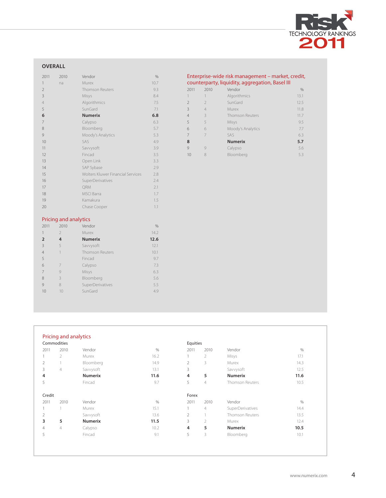

# **overall**

| 2011           | 2010                         | Vendor                            | %    |
|----------------|------------------------------|-----------------------------------|------|
| 1              | na                           | Murex                             | 10.7 |
| $\overline{2}$ |                              | <b>Thomson Reuters</b>            | 9.3  |
| 3              |                              | Misys                             | 8.4  |
| $\overline{4}$ |                              | Algorithmics                      | 7.5  |
| 5              |                              | SunGard                           | 7.1  |
| 6              |                              | <b>Numerix</b>                    | 6.8  |
| 7              |                              | Calypso                           | 6.3  |
| 8              |                              | Bloomberg                         | 5.7  |
| 9              |                              | Moody's Analytics                 | 5.3  |
| 10             |                              | SAS                               | 4.9  |
| 11             |                              | Savvysoft                         | 3.9  |
| 12             |                              | Fincad                            | 3.5  |
| 13             |                              | Open Link                         | 3.3  |
| 14             |                              | SAP Sybase                        | 2.9  |
| 15             |                              | Wolters Kluwer Financial Services | 2.8  |
| 16             |                              | SuperDerivatives                  | 2.4  |
| 17             |                              | QRM                               | 2.1  |
| 18             |                              | <b>MSCI</b> Barra                 | 1.7  |
| 19             |                              | Kamakura                          | 1.5  |
| 20             |                              | Chase Cooper                      | 1.1  |
|                |                              |                                   |      |
|                | <b>Pricing and analytics</b> |                                   |      |

## Enterprise-wide risk management – market, credit, counterparty, liquidity, aggregation, basel III

| 2011 | 2010           | Vendor                 | %    |
|------|----------------|------------------------|------|
| 1    |                | Algorithmics           | 13.1 |
| 2    | $\mathcal{P}$  | SunGard                | 12.5 |
| 3    | $\overline{4}$ | Murex                  | 11.8 |
| 4    | 3              | <b>Thomson Reuters</b> | 11.7 |
| 5    | 5              | Misys                  | 9.5  |
| 6    | 6              | Moody's Analytics      | 7.7  |
| 7    |                | SAS                    | 6.3  |
| 8    |                | <b>Numerix</b>         | 5.7  |
| 9    | $\mathcal{Q}$  | Calypso                | 5.6  |
| 10   |                | Bloomberg              | 5.3  |
|      |                |                        |      |

### Pricing and analytics

| 2011           | 2010          | Vendor                 | %    |
|----------------|---------------|------------------------|------|
| 1              | $\mathcal{P}$ | Murex                  | 14.2 |
| $\overline{2}$ | 4             | <b>Numerix</b>         | 12.6 |
| 3              | 5             | Savvysoft              | 12.1 |
| $\overline{4}$ |               | <b>Thomson Reuters</b> | 10.1 |
| 5              |               | Fincad                 | 9.7  |
| 6              | 7             | Calypso                | 7.3  |
| 7              | 9             | Misys                  | 6.3  |
| 8              | 3             | Bloomberg              | 5.6  |
| 9              | 8             | SuperDerivatives       | 5.5  |
| 10             | 10            | SunGard                | 4.9  |

|                | Commodities    |                |      | Equities |                |                  |      |
|----------------|----------------|----------------|------|----------|----------------|------------------|------|
| 2011           | 2010           | Vendor         | $\%$ | 2011     | 2010           | Vendor           | $\%$ |
|                | $\overline{2}$ | Murex          | 16.2 |          | $\overline{2}$ | Misys            | 17.1 |
| 2              |                | Bloomberg      | 14.9 | 2        | 3              | Murex            | 14.3 |
| 3              | 4              | Savvysoft      | 13.1 | 3        |                | Savvysoft        | 12.5 |
| 4              |                | <b>Numerix</b> | 11.6 | 4        | 5              | <b>Numerix</b>   | 11.6 |
| 5              |                | Fincad         | 9.7  | 5        | $\overline{4}$ | Thomson Reuters  | 10.5 |
| Credit         |                |                |      | Forex    |                |                  |      |
| 2011           | 2010           | Vendor         | $\%$ | 2011     | 2010           | Vendor           | $\%$ |
|                |                | Murex          | 15.1 |          | $\overline{4}$ | SuperDerivatives | 14.4 |
| 2              |                | Savvysoft      | 13.6 | 2        |                | Thomson Reuters  | 13.5 |
| 3              | 5              | <b>Numerix</b> | 11.5 | 3        | $\overline{2}$ | Murex            | 12.4 |
| $\overline{4}$ | 4              | Calypso        | 10.2 | 4        | 5              | <b>Numerix</b>   | 10.5 |
| 5              |                | Fincad         | 9.1  | 5        | 3              | Bloomberg        | 10.1 |